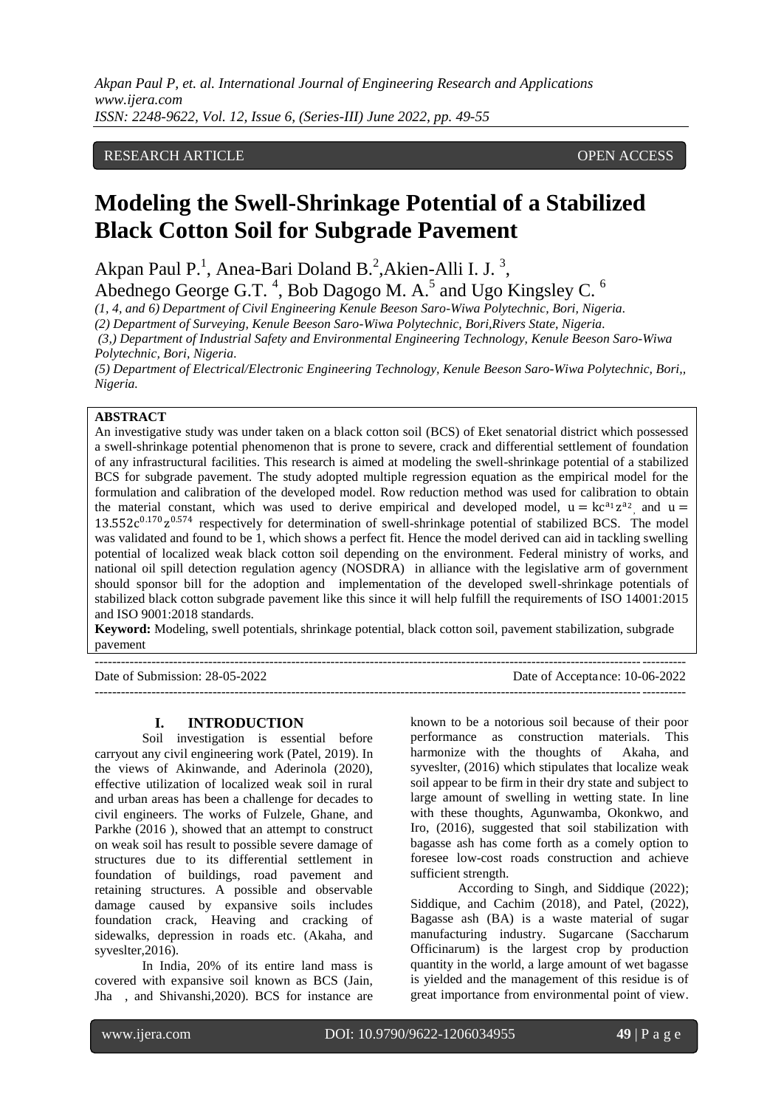*Akpan Paul P, et. al. International Journal of Engineering Research and Applications www.ijera.com ISSN: 2248-9622, Vol. 12, Issue 6, (Series-III) June 2022, pp. 49-55*

# RESEARCH ARTICLE **CONSERVERS** OPEN ACCESS

# **Modeling the Swell-Shrinkage Potential of a Stabilized Black Cotton Soil for Subgrade Pavement**

Akpan Paul P.<sup>1</sup>, Anea-Bari Doland B.<sup>2</sup>, Akien-Alli I. J.<sup>3</sup>,

Abednego George G.T.<sup>4</sup>, Bob Dagogo M. A.<sup>5</sup> and Ugo Kingsley C.<sup>6</sup>

*(1, 4, and 6) Department of Civil Engineering Kenule Beeson Saro-Wiwa Polytechnic, Bori, Nigeria.*

*(2) Department of Surveying, Kenule Beeson Saro-Wiwa Polytechnic, Bori,Rivers State, Nigeria.*

*(3,) Department of Industrial Safety and Environmental Engineering Technology, Kenule Beeson Saro-Wiwa Polytechnic, Bori, Nigeria.*

*(5) Department of Electrical/Electronic Engineering Technology, Kenule Beeson Saro-Wiwa Polytechnic, Bori,, Nigeria.*

#### **ABSTRACT**

An investigative study was under taken on a black cotton soil (BCS) of Eket senatorial district which possessed a swell-shrinkage potential phenomenon that is prone to severe, crack and differential settlement of foundation of any infrastructural facilities. This research is aimed at modeling the swell-shrinkage potential of a stabilized BCS for subgrade pavement. The study adopted multiple regression equation as the empirical model for the formulation and calibration of the developed model. Row reduction method was used for calibration to obtain the material constant, which was used to derive empirical and developed model,  $u = kc^{a_1}z^{a_2}$  and  $u =$  $13.552c^{0.170}z^{0.574}$  respectively for determination of swell-shrinkage potential of stabilized BCS. The model was validated and found to be 1, which shows a perfect fit. Hence the model derived can aid in tackling swelling potential of localized weak black cotton soil depending on the environment. Federal ministry of works, and national oil spill detection regulation agency (NOSDRA) in alliance with the legislative arm of government should sponsor bill for the adoption and implementation of the developed swell-shrinkage potentials of stabilized black cotton subgrade pavement like this since it will help fulfill the requirements of ISO 14001:2015 and ISO 9001:2018 standards.

**Keyword:** Modeling, swell potentials, shrinkage potential, black cotton soil, pavement stabilization, subgrade pavement ---------------------------------------------------------------------------------------------------------------------------------------

---------------------------------------------------------------------------------------------------------------------------------------

Date of Submission: 28-05-2022 Date of Acceptance: 10-06-2022

#### **I. INTRODUCTION**

Soil investigation is essential before carryout any civil engineering work (Patel, 2019). In the views of Akinwande, and Aderinola (2020), effective utilization of localized weak soil in rural and urban areas has been a challenge for decades to civil engineers. The works of Fulzele, Ghane, and Parkhe (2016 ), showed that an attempt to construct on weak soil has result to possible severe damage of structures due to its differential settlement in foundation of buildings, road pavement and retaining structures. A possible and observable damage caused by expansive soils includes foundation crack, Heaving and cracking of sidewalks, depression in roads etc. (Akaha, and syveslter,2016).

In India, 20% of its entire land mass is covered with expansive soil known as BCS (Jain, Jha , and Shivanshi,2020). BCS for instance are known to be a notorious soil because of their poor performance as construction materials. This harmonize with the thoughts of Akaha, and syveslter, (2016) which stipulates that localize weak soil appear to be firm in their dry state and subject to large amount of swelling in wetting state. In line with these thoughts, Agunwamba, Okonkwo, and Iro, (2016), suggested that soil stabilization with bagasse ash has come forth as a comely option to foresee low-cost roads construction and achieve sufficient strength.

According to Singh, and Siddique (2022); Siddique, and Cachim (2018), and Patel, (2022), Bagasse ash (BA) is a waste material of sugar manufacturing industry. Sugarcane (Saccharum Officinarum) is the largest crop by production quantity in the world, a large amount of wet bagasse is yielded and the management of this residue is of great importance from environmental point of view.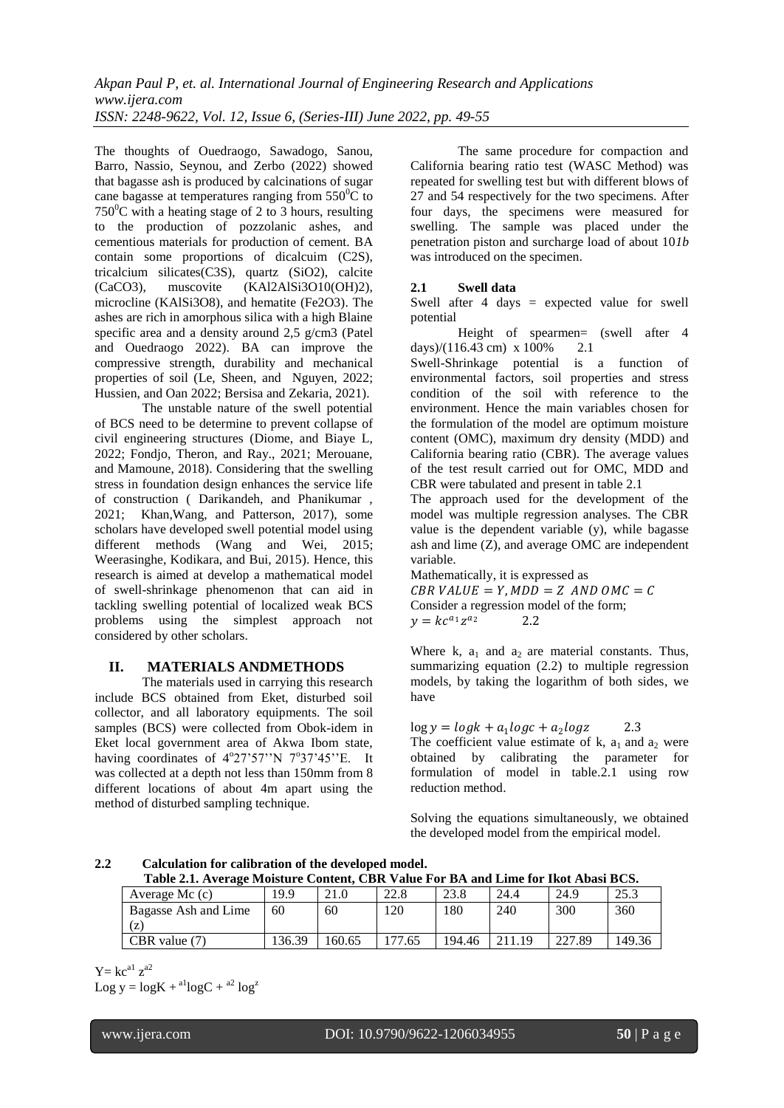The thoughts of Ouedraogo, Sawadogo, Sanou, Barro, Nassio, Seynou, and Zerbo (2022) showed that bagasse ash is produced by calcinations of sugar cane bagasse at temperatures ranging from  $550^{\circ}$ C to  $750^{\circ}$ C with a heating stage of 2 to 3 hours, resulting to the production of pozzolanic ashes, and cementious materials for production of cement. BA contain some proportions of dicalcuim (C2S), tricalcium silicates(C3S), quartz (SiO2), calcite (CaCO3), muscovite (KAl2AlSi3O10(OH)2), microcline (KAlSi3O8), and hematite (Fe2O3). The ashes are rich in amorphous silica with a high Blaine specific area and a density around 2,5 g/cm3 (Patel and Ouedraogo 2022). BA can improve the compressive strength, durability and mechanical properties of soil (Le, Sheen, and Nguyen, 2022; Hussien, and Oan 2022; Bersisa and Zekaria, 2021).

The unstable nature of the swell potential of BCS need to be determine to prevent collapse of civil engineering structures (Diome, and Biaye L, 2022; Fondjo, Theron, and Ray., 2021; Merouane, and Mamoune, 2018). Considering that the swelling stress in foundation design enhances the service life of construction ( Darikandeh, and Phanikumar , 2021; Khan,Wang, and Patterson, 2017), some scholars have developed swell potential model using different methods (Wang and Wei, 2015; Weerasinghe, Kodikara, and Bui, 2015). Hence, this research is aimed at develop a mathematical model of swell-shrinkage phenomenon that can aid in tackling swelling potential of localized weak BCS problems using the simplest approach not considered by other scholars.

#### **II. MATERIALS ANDMETHODS**

The materials used in carrying this research include BCS obtained from Eket, disturbed soil collector, and all laboratory equipments. The soil samples (BCS) were collected from Obok-idem in Eket local government area of Akwa Ibom state, having coordinates of 4°27'57''N 7°37'45''E. It was collected at a depth not less than 150mm from 8 different locations of about 4m apart using the method of disturbed sampling technique.

The same procedure for compaction and California bearing ratio test (WASC Method) was repeated for swelling test but with different blows of 27 and 54 respectively for the two specimens. After four days, the specimens were measured for swelling. The sample was placed under the penetration piston and surcharge load of about 10*1b* was introduced on the specimen.

#### **2.1 Swell data**

Swell after 4 days = expected value for swell potential

Height of spearmen= (swell after 4 days)/(116.43 cm) x  $100\%$  2.1

Swell-Shrinkage potential is a function of environmental factors, soil properties and stress condition of the soil with reference to the environment. Hence the main variables chosen for the formulation of the model are optimum moisture content (OMC), maximum dry density (MDD) and California bearing ratio (CBR). The average values of the test result carried out for OMC, MDD and CBR were tabulated and present in table 2.1

The approach used for the development of the model was multiple regression analyses. The CBR value is the dependent variable (y), while bagasse ash and lime (Z), and average OMC are independent variable.

Mathematically, it is expressed as  $CBR$  VALUE = Y, MDD = Z AND OMC = C Consider a regression model of the form;  $y = kc^{a_1}z$ <sup>2</sup> 2.2

Where k,  $a_1$  and  $a_2$  are material constants. Thus, summarizing equation (2.2) to multiple regression models, by taking the logarithm of both sides, we have

 $\log y = \log k + a_1 \log c + a_2 \log z$  2.3 The coefficient value estimate of k,  $a_1$  and  $a_2$  were obtained by calibrating the parameter for formulation of model in table.2.1 using row reduction method.

Solving the equations simultaneously, we obtained the developed model from the empirical model.

**2.2 Calculation for calibration of the developed model. Table 2.1. Average Moisture Content, CBR Value For BA and Lime for Ikot Abasi BCS.**

| THOR THE HIGH DIGIT CONTRACT ON A SERVE AND THE CONTRACT OF THE CONTRACT OF THE CONTRACT OF CONTRACT OF CONTRACT O |       |        |      |        |      |        |        |  |
|--------------------------------------------------------------------------------------------------------------------|-------|--------|------|--------|------|--------|--------|--|
| Average Mc $(c)$                                                                                                   | 19.9  | 21.0   | 22.8 | 23.8   | 24.4 | 24.9   | 25.3   |  |
| Bagasse Ash and Lime                                                                                               | 60    | 60     | l 20 | 180    | 240  | 300    | 360    |  |
| (Z)                                                                                                                |       |        |      |        |      |        |        |  |
| CBR value (7)                                                                                                      | 36.39 | 160.65 |      | 194.46 | 19   | 227.89 | 149.36 |  |

 $Y=kc^{a1} z^{a2}$ Log  $y = logK + {^{a1}}logC + {^{a2}}log^2$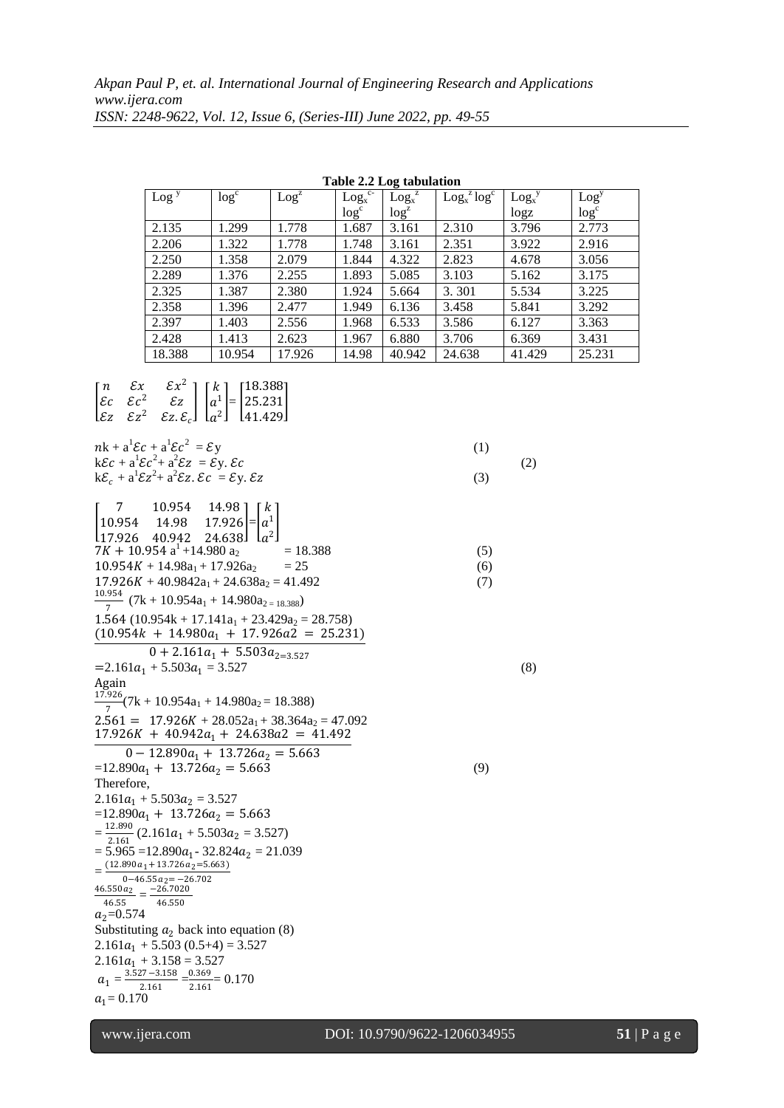| $\text{Log}$ <sup>y</sup> | log <sup>c</sup> | Log <sup>z</sup> | $Logx$ <sup>c-</sup> | Log <sub>x</sub> <sup>z</sup> | $\text{Log}_{x}^{z} \text{log}^{c}$ | $Log_x^y$ | Log <sup>y</sup> |
|---------------------------|------------------|------------------|----------------------|-------------------------------|-------------------------------------|-----------|------------------|
|                           |                  |                  | log <sup>c</sup>     | log <sup>z</sup>              |                                     | log z     | log <sup>c</sup> |
| 2.135                     | 1.299            | 1.778            | 1.687                | 3.161                         | 2.310                               | 3.796     | 2.773            |
| 2.206                     | 1.322            | 1.778            | 1.748                | 3.161                         | 2.351                               | 3.922     | 2.916            |
| 2.250                     | 1.358            | 2.079            | 1.844                | 4.322                         | 2.823                               | 4.678     | 3.056            |
| 2.289                     | 1.376            | 2.255            | 1.893                | 5.085                         | 3.103                               | 5.162     | 3.175            |
| 2.325                     | 1.387            | 2.380            | 1.924                | 5.664                         | 3.301                               | 5.534     | 3.225            |
| 2.358                     | 1.396            | 2.477            | 1.949                | 6.136                         | 3.458                               | 5.841     | 3.292            |
| 2.397                     | 1.403            | 2.556            | 1.968                | 6.533                         | 3.586                               | 6.127     | 3.363            |
| 2.428                     | 1.413            | 2.623            | 1.967                | 6.880                         | 3.706                               | 6.369     | 3.431            |
| 18.388                    | 10.954           | 17.926           | 14.98                | 40.942                        | 24.638                              | 41.429    | 25.231           |

 $\begin{bmatrix} \varepsilon c & \varepsilon c \end{bmatrix}$ <sup>2</sup>  $\mathcal{E}z$  $\mathcal{E} z \quad \mathcal{E} z^2$ <sup>2</sup>  $\mathcal{E}z \cdot \mathcal{E}_c$ I  $a^1$  $\begin{bmatrix} a^1 \\ a^2 \end{bmatrix} =$ 25.231 41.429 I  $nk + a^1 \mathcal{E}c + a^1 \mathcal{E}c^2$  $=\mathcal{E}y$  (1)  $k\mathcal{E}c + a^1 \mathcal{E}c^2 + a^2 \mathcal{E}z = \mathcal{E}y$ .  $\mathcal{E}c$  (2)  $k\mathcal{E}_c + a^1 \mathcal{E} z^2 + a^2 \mathcal{E} z$ .  $\mathcal{E}c = \mathcal{E} y$ .  $\mathcal{E} z$  (3)  $\begin{vmatrix} 10.954 & 14.98 & 17.926 \end{vmatrix} = \begin{vmatrix} a^1 \end{vmatrix}$ 7 10.954 14.98 ] [k 17.926 40.942 24.638  $a^2$  $7K + 10.954 \text{ a}^1 + 14.980 \text{ a}_2 = 18.388$  (5)  $10.954K + 14.98a_1 + 17.926a_2 = 25$  (6)  $17.926K + 40.9842a_1 + 24.638a_2 = 41.492$  (7) 10.954  $\frac{7.534}{7}$  (7k + 10.954a<sub>1</sub> + 14.980a<sub>2 = 18.388</sub>)  $1.564 (10.954k + 17.141a<sub>1</sub> + 23.429a<sub>2</sub> = 28.758)$  $(10.954k + 14.980a_1 + 17.926a_2 = 25.231)$  $0 + 2.161a_1 + 5.503a_{2=3.527}$  $=2.161a_1 + 5.503a_1 = 3.527$  (8) Again 17.926  $\frac{3220}{7}(7k + 10.954a_1 + 14.980a_2 = 18.388)$  $2.561 = 17.926K + 28.052a_1 + 38.364a_2 = 47.092$  $17.926K + 40.942a_1 + 24.638a_2 = 41.492$  $0 - 12.890a_1 + 13.726a_2 = 5.663$  $=12.890a_1 + 13.726a_2 = 5.663$  (9) Therefore,  $2.161a_1 + 5.503a_2 = 3.527$  $=12.890a_1 + 13.726a_2 = 5.663$  $=\frac{12.890}{3.161}$  $\frac{22.690}{2.161}$  (2.161 $a_1 + 5.503a_2 = 3.527$ )  $= 5.965 = 12.890a_1 - 32.824a_2 = 21.039$  $=\frac{(12.890a_1+13.726a_2=5.663)}{0.4655}$  $0-46.55a_2 = -26.702$ <br>46.550 $a_2 = -26.7020$  $\frac{1.550a_2}{46.55} = \frac{-26.7020}{46.550}$ 46.550  $a_2 = 0.574$ Substituting  $a_2$  back into equation (8)  $2.161a_1 + 5.503(0.5+4) = 3.527$  $2.161a_1 + 3.158 = 3.527$  $a_1 = \frac{3.527 - 3.158}{2.161}$  $\frac{27-3.158}{2.161} = \frac{0.369}{2.161}$ 2.161  $= 0.170$  $a_1 = 0.170$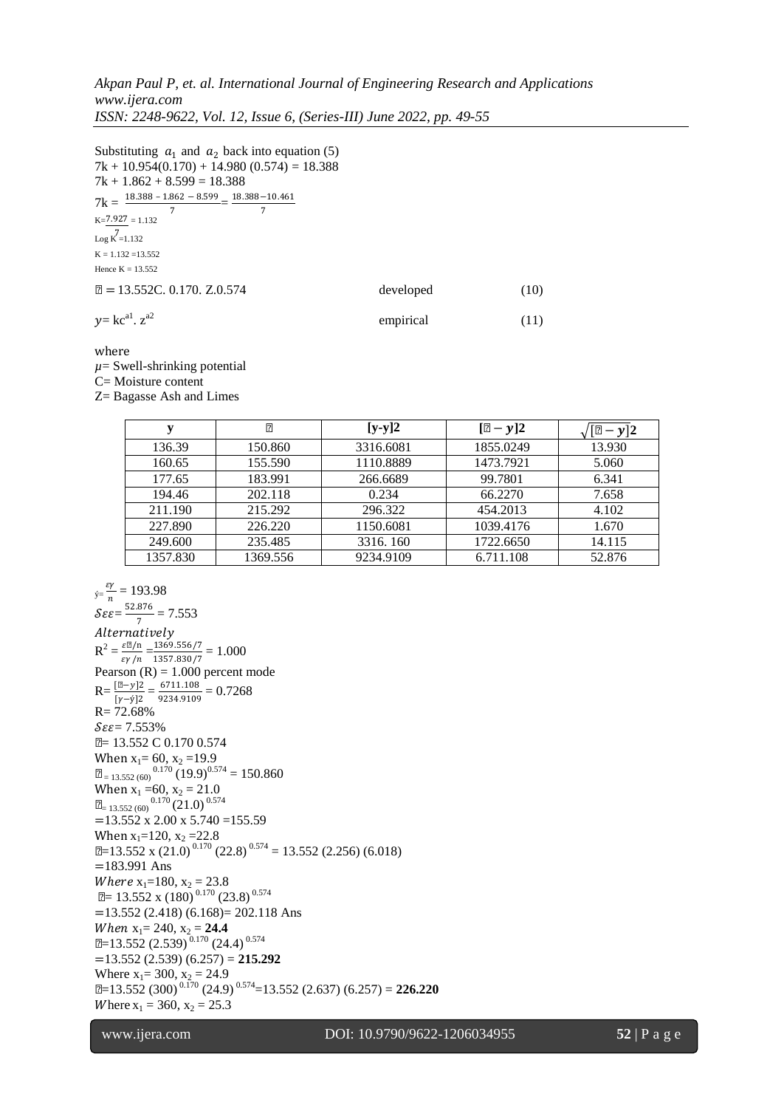*Akpan Paul P, et. al. International Journal of Engineering Research and Applications www.ijera.com ISSN: 2248-9622, Vol. 12, Issue 6, (Series-III) June 2022, pp. 49-55*

Substituting  $a_1$  and  $a_2$  back into equation (5)  $7k + 10.954(0.170) + 14.980(0.574) = 18.388$  $7k + 1.862 + 8.599 = 18.388$  $7k = \frac{18.388 - 1.862 - 8.599}{7} = \frac{18.388 - 10.461}{7}$ 7 7  $K = 7.927 = 1.132$ 7 Log K =1.132  $K = 1.132 = 13.552$ Hence  $K = 13.552$  $\mu = 13.552C$ . 0.170. Z.0.574 developed (10)  $y=$  kc $^{a1}$ . z empirical (11)

where

 $\mu$ = Swell-shrinking potential

C= Moisture content

Z= Bagasse Ash and Limes

| v        | μ        | $[y-y]2$  | $[\mu - y]2$ | $-y$  2 |
|----------|----------|-----------|--------------|---------|
| 136.39   | 150.860  | 3316.6081 | 1855.0249    | 13.930  |
| 160.65   | 155.590  | 1110.8889 | 1473.7921    | 5.060   |
| 177.65   | 183.991  | 266.6689  | 99.7801      | 6.341   |
| 194.46   | 202.118  | 0.234     | 66.2270      | 7.658   |
| 211.190  | 215.292  | 296.322   | 454.2013     | 4.102   |
| 227.890  | 226.220  | 1150.6081 | 1039.4176    | 1.670   |
| 249.600  | 235.485  | 3316.160  | 1722.6650    | 14.115  |
| 1357.830 | 1369.556 | 9234.9109 | 6.711.108    | 52.876  |

 $\acute{y}=\frac{\varepsilon\gamma}{n}$  $\frac{5r}{n}$  = 193.98  $\mathcal{S}\varepsilon\varepsilon = \frac{52.876}{7}$  $\frac{1070}{7}$  = 7.553 Alternatively  $R^2 = \frac{\varepsilon \mu / n}{n}$  $\frac{\varepsilon \mu / n}{\varepsilon \gamma / n} = \frac{1369.556/7}{1357.830/7}$  $\frac{1359.330}{1357.830/7} = 1.000$ Pearson  $(R) = 1.000$  percent mode  $R = \frac{[\mu - y]2}{[\gamma - \dot{\gamma}]2} = \frac{6711.108}{9234.9109}$  $\frac{6711.106}{9234.9109} = 0.7268$ R= 72.68%  $\mathcal{S}\varepsilon\varepsilon = 7.553\%$ µ= 13.552 C 0.170 0.574 When  $x_1 = 60$ ,  $x_2 = 19.9$  $\mu$ <sub>= 13.552 (60)</sub>  $^{0.170}$  (19.9)<sup>0.574</sup> = 150.860 When  $x_1 = 60$ ,  $x_2 = 21.0$  $\mu$ <sub>= 13.552 (60)</sub>  $^{0.170}$  (21.0)  $^{0.574}$  $=13.552$  x 2.00 x 5.740  $=155.59$ When  $x_1=120$ ,  $x_2 = 22.8$  $\mu$ =13.552 x (21.0)<sup>0.170</sup> (22.8)<sup>0.574</sup> = 13.552 (2.256) (6.018) =183.991 Ans *Where*  $x_1=180$ ,  $x_2 = 23.8$  $\mu$  = 13.552 x (180)<sup>0.170</sup> (23.8)<sup>0.574</sup> =13.552 (2.418) (6.168)= 202.118 Ans *When*  $x_1 = 240$ ,  $x_2 = 24.4$  $\mu$ =13.552 (2.539)<sup>0.170</sup> (24.4)<sup>0.574</sup> =13.552 (2.539) (6.257) = **215.292** Where  $x_1 = 300$ ,  $x_2 = 24.9$  $\mu$ =13.552 (300)<sup>0.170</sup> (24.9)<sup>0.574</sup>=13.552 (2.637) (6.257) = **226.220** Where  $x_1 = 360$ ,  $x_2 = 25.3$ 

l

www.ijera.com DOI: 10.9790/9622-1206034955 **52** | P a g e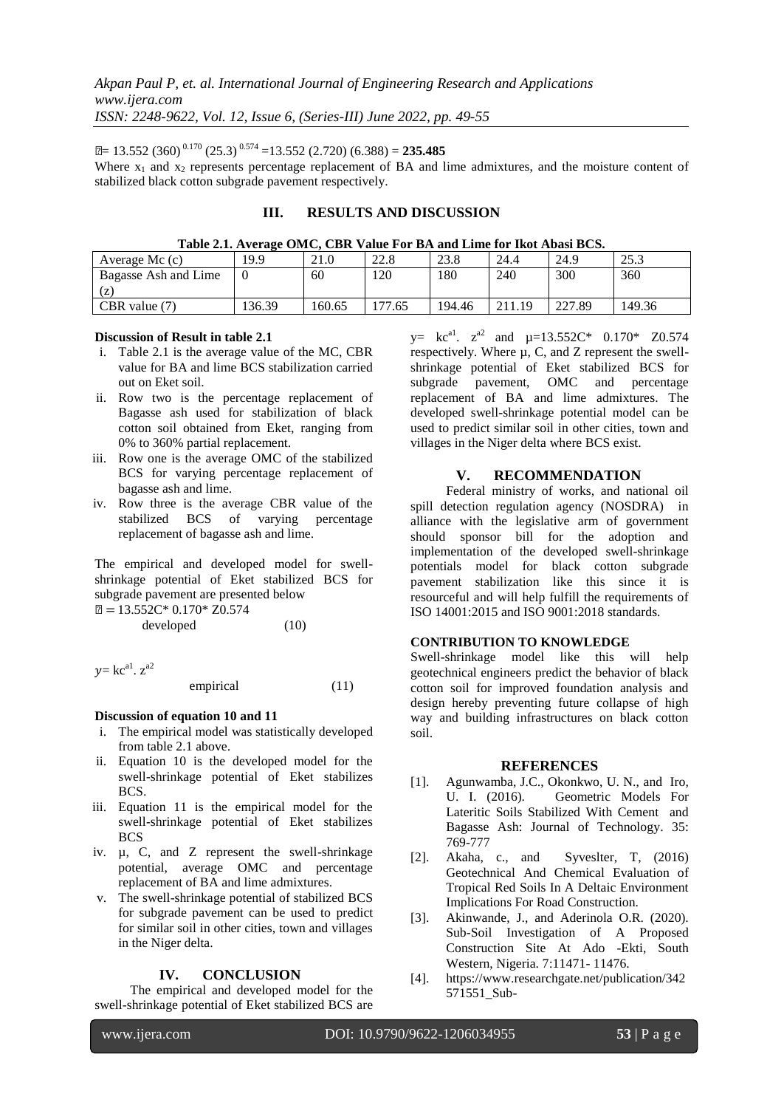$\mu$  = 13.552 (360)<sup>0.170</sup> (25.3)<sup>0.574</sup> = 13.552 (2.720) (6.388) = **235.485** 

Where  $x_1$  and  $x_2$  represents percentage replacement of BA and lime admixtures, and the moisture content of stabilized black cotton subgrade pavement respectively.

# **III. RESULTS AND DISCUSSION**

| Average Mc $(c)$     | 19.9   | 21.0   | 22.8  | 23.8   | 24.4   | 24.9   | 252<br>ر. رے |
|----------------------|--------|--------|-------|--------|--------|--------|--------------|
| Bagasse Ash and Lime |        | 60     | 120   | 180    | 240    | 300    | 360          |
| (Z)                  |        |        |       |        |        |        |              |
| CBR value $(7)$      | 136.39 | 160.65 | 77.65 | 194.46 | 211.19 | 227.89 | 149.36       |

#### **Discussion of Result in table 2.1**

- i. Table 2.1 is the average value of the MC, CBR value for BA and lime BCS stabilization carried out on Eket soil.
- ii. Row two is the percentage replacement of Bagasse ash used for stabilization of black cotton soil obtained from Eket, ranging from 0% to 360% partial replacement.
- iii. Row one is the average OMC of the stabilized BCS for varying percentage replacement of bagasse ash and lime.
- iv. Row three is the average CBR value of the stabilized BCS of varying percentage replacement of bagasse ash and lime.

The empirical and developed model for swellshrinkage potential of Eket stabilized BCS for subgrade pavement are presented below

$$
\mu = 13.552C^* \ 0.170^* \ Z0.574
$$
\ndeveloped (10)

 $y=$  kc<sup>a1</sup>.  $z^{a2}$ 

$$
empirical \t(11)
$$

## **Discussion of equation 10 and 11**

- i. The empirical model was statistically developed from table 2.1 above.
- ii. Equation 10 is the developed model for the swell-shrinkage potential of Eket stabilizes BCS.
- iii. Equation 11 is the empirical model for the swell-shrinkage potential of Eket stabilizes BCS
- iv. µ, C, and Z represent the swell-shrinkage potential, average OMC and percentage replacement of BA and lime admixtures.
- v. The swell-shrinkage potential of stabilized BCS for subgrade pavement can be used to predict for similar soil in other cities, town and villages in the Niger delta.

#### **IV. CONCLUSION**

The empirical and developed model for the swell-shrinkage potential of Eket stabilized BCS are

 $y=$  kc<sup>a1</sup>.  $z^{a2}$  and  $\mu=13.552C^*$  0.170\* Z0.574 respectively. Where µ, C, and Z represent the swellshrinkage potential of Eket stabilized BCS for subgrade pavement, OMC and percentage replacement of BA and lime admixtures. The developed swell-shrinkage potential model can be used to predict similar soil in other cities, town and villages in the Niger delta where BCS exist.

# **V. RECOMMENDATION**

Federal ministry of works, and national oil spill detection regulation agency (NOSDRA) in alliance with the legislative arm of government should sponsor bill for the adoption and implementation of the developed swell-shrinkage potentials model for black cotton subgrade pavement stabilization like this since it is resourceful and will help fulfill the requirements of ISO 14001:2015 and ISO 9001:2018 standards.

#### **CONTRIBUTION TO KNOWLEDGE**

Swell-shrinkage model like this will help geotechnical engineers predict the behavior of black cotton soil for improved foundation analysis and design hereby preventing future collapse of high way and building infrastructures on black cotton soil.

#### **REFERENCES**

- [1]. Agunwamba, J.C., Okonkwo, U. N., and Iro, U. I. (2016). Geometric Models For Lateritic Soils Stabilized With Cement and Bagasse Ash: Journal of Technology. 35: 769-777
- [2]. Akaha, c., and Syveslter, T, (2016) Geotechnical And Chemical Evaluation of Tropical Red Soils In A Deltaic Environment Implications For Road Construction.
- [3]. Akinwande, J., and Aderinola O.R. (2020). Sub-Soil Investigation of A Proposed Construction Site At Ado -Ekti, South Western, Nigeria. 7:11471- 11476.
- [4]. [https://www.researchgate.net/publication/342](https://www.researchgate.net/publication/342571551_Sub-Soil_Investigation_Of_A_Proposed_) [571551\\_Sub-](https://www.researchgate.net/publication/342571551_Sub-Soil_Investigation_Of_A_Proposed_)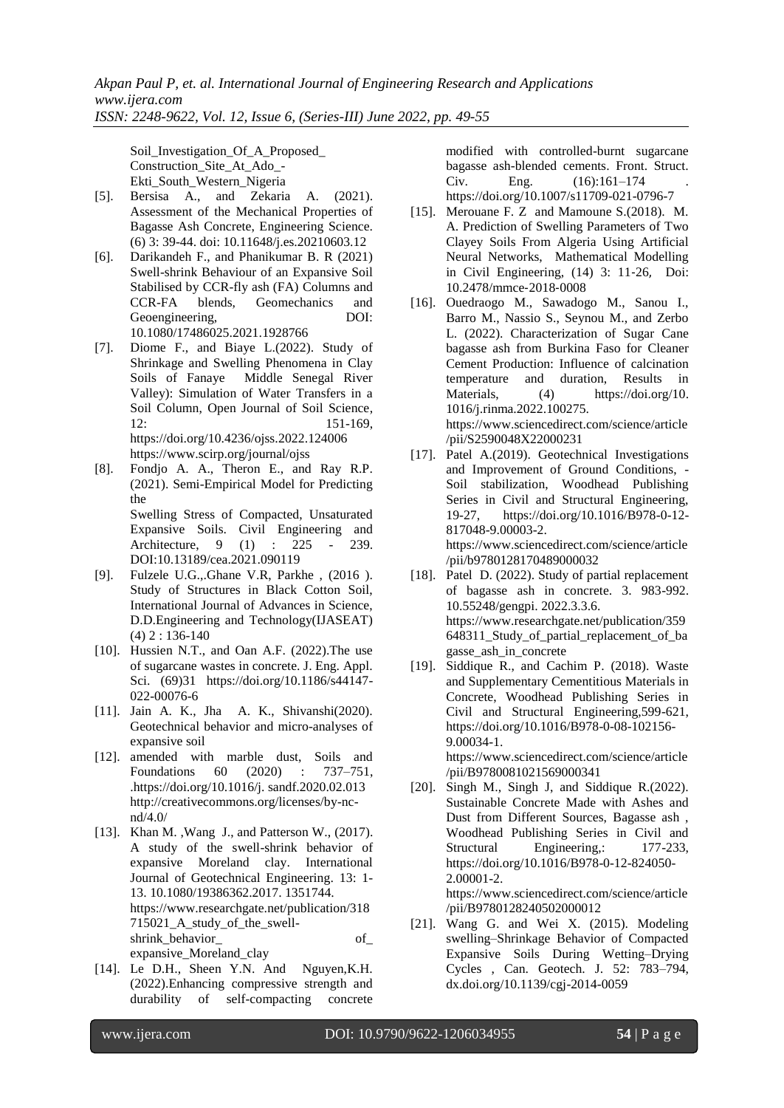Soil Investigation Of A Proposed Construction\_Site\_At\_Ado\_- Ekti\_South\_Western\_Nigeria

- [5]. Bersisa A., and Zekaria A. (2021). Assessment of the Mechanical Properties of Bagasse Ash Concrete, Engineering Science. (6) 3: 39-44. doi: 10.11648/j.es.20210603.12
- [6]. Darikandeh F., and Phanikumar B. R (2021) Swell-shrink Behaviour of an Expansive Soil Stabilised by CCR-fly ash (FA) Columns and CCR-FA blends, Geomechanics and Geoengineering, DOI: 10.1080/17486025.2021.1928766
- [7]. Diome F., and Biaye L.(2022). Study of Shrinkage and Swelling Phenomena in Clay Soils of Fanaye Middle Senegal River Valley): Simulation of Water Transfers in a Soil Column, Open Journal of Soil Science, 12: 151-169, https://doi.org/10.4236/ojss.2022.124006 <https://www.scirp.org/journal/ojss>
- [8]. Fondjo A. A., Theron E., and Ray R.P. (2021). Semi-Empirical Model for Predicting the Swelling Stress of Compacted, Unsaturated Expansive Soils. Civil Engineering and<br>Architecture. 9 (1) : 225 - 239. Architecture,  $9 \quad (1)$  : 225 -DOI:10.13189/cea.2021.090119
- [9]. Fulzele U.G.,.Ghane V.R, Parkhe , (2016 ). Study of Structures in Black Cotton Soil, International Journal of Advances in Science, D.D.Engineering and Technology(IJASEAT)  $(4)$  2 : 136-140
- [10]. Hussien N.T., and Oan A.F. (2022).The use of sugarcane wastes in concrete. J. Eng. Appl. Sci. (69)31 [https://doi.org/10.1186/s44147-](https://doi.org/10.1186/s44147-022-00076-6) [022-00076-6](https://doi.org/10.1186/s44147-022-00076-6)
- [11]. Jain A. K., Jha A. K., Shivanshi(2020). Geotechnical behavior and micro-analyses of expansive soil
- [12]. amended with marble dust, Soils and Foundations 60 (2020) : 737–751, .https://doi.org/10.1016/j. sandf.2020.02.013 http://creativecommons.org/licenses/by-ncnd/4.0/
- [13]. Khan M. ,Wang J., and Patterson W., (2017). A study of the swell-shrink behavior of expansive Moreland clay. International Journal of Geotechnical Engineering. 13: 1- 13. 10.1080/19386362.2017. 1351744. [https://www.researchgate.net/publication/318](https://www.researchgate.net/publication/318715021_A_study_of_the_swell-shrink_behavior_) [715021\\_A\\_study\\_of\\_the\\_swell](https://www.researchgate.net/publication/318715021_A_study_of_the_swell-shrink_behavior_)[shrink\\_behavior\\_](https://www.researchgate.net/publication/318715021_A_study_of_the_swell-shrink_behavior_) of\_ expansive\_Moreland\_clay
- [14]. Le D.H., Sheen Y.N. And Nguyen,K.H. (2022).Enhancing compressive strength and durability of self-compacting concrete

modified with controlled-burnt sugarcane bagasse ash-blended cements. Front. Struct. Civ. Eng.  $(16):161-174$ <https://doi.org/10.1007/s11709-021-0796-7>

- [15]. Merouane F. Z and Mamoune S.(2018). M. A. Prediction of Swelling Parameters of Two Clayey Soils From Algeria Using Artificial Neural Networks, Mathematical Modelling in Civil Engineering, (14) 3: 11‐26, Doi: 10.2478/mmce‐2018‐0008
- [16]. Ouedraogo M., Sawadogo M., Sanou I., Barro M., Nassio S., Seynou M., and Zerbo L. (2022). Characterization of Sugar Cane bagasse ash from Burkina Faso for Cleaner Cement Production: Influence of calcination temperature and duration, Results in Materials, (4) [https://doi.org/10.](https://doi.org/10) 1016/j.rinma.2022.100275. [https://www.sciencedirect.com/science/article](https://www.sciencedirect.com/science/article/pii/S2590048X22000231) [/pii/S2590048X22000231](https://www.sciencedirect.com/science/article/pii/S2590048X22000231)
- [17]. Patel A.(2019). Geotechnical Investigations and Improvement of Ground Conditions, - Soil stabilization, Woodhead Publishing Series in Civil and Structural Engineering, 19-27, https://doi.org/10.1016/B978-0-12- 817048-9.00003-2. [https://www.sciencedirect.com/science/article](https://www.sciencedirect.com/science/article/pii/B9780128170489000032) [/pii/b9780128170489000032](https://www.sciencedirect.com/science/article/pii/B9780128170489000032)
- [18]. Patel D. (2022). Study of partial replacement of bagasse ash in concrete. 3. 983-992. 10.55248/gengpi. 2022.3.3.6. [https://www.researchgate.net/publication/359](https://www.researchgate.net/publication/359648311_Study_of_partial_replacement_of_bagasse_) [648311\\_Study\\_of\\_partial\\_replacement\\_of\\_ba](https://www.researchgate.net/publication/359648311_Study_of_partial_replacement_of_bagasse_) [gasse\\_a](https://www.researchgate.net/publication/359648311_Study_of_partial_replacement_of_bagasse_)sh\_in\_concrete
- [19]. Siddique R., and Cachim P. (2018). Waste and Supplementary Cementitious Materials in Concrete, Woodhead Publishing Series in Civil and Structural Engineering,599-621, https://doi.org/10.1016/B978-0-08-102156- 9.00034-1. https://www.sciencedirect.com/science/article

/pii/B9780081021569000341

- [20]. Singh M., Singh J, and Siddique R.(2022). Sustainable Concrete Made with Ashes and Dust from Different Sources, Bagasse ash , Woodhead Publishing Series in Civil and Structural Engineering,: 177-233, https://doi.org/10.1016/B978-0-12-824050- 2.00001-2. https://www.sciencedirect.com/science/article
- /pii/B9780128240502000012 [21]. Wang G. and Wei X. (2015). Modeling swelling–Shrinkage Behavior of Compacted Expansive Soils During Wetting–Drying Cycles , Can. Geotech. J. 52: 783–794, dx.doi.org/10.1139/cgj-2014-0059